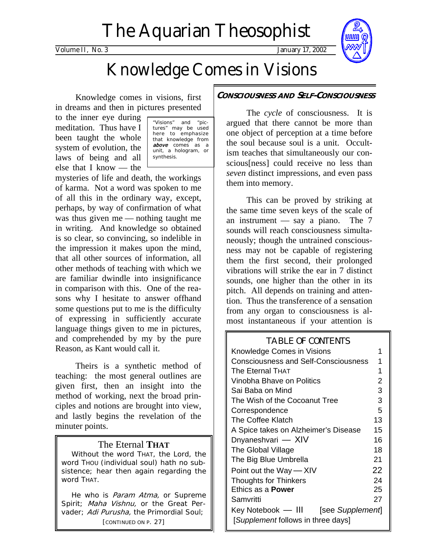# The Aquarian Theosophist

Volume II, No. 3 January 17, 2002



# Knowledge Comes in Visions

Knowledge comes in visions, first in dreams and then in pictures presented

to the inner eye during meditation. Thus have I been taught the whole system of evolution, the laws of being and all else that I know — the

"Visions" and "pictures" may be used here to emphasize that knowledge from above comes as a unit, a hologram, or synthesis.

mysteries of life and death, the workings of karma. Not a word was spoken to me of all this in the ordinary way, except, perhaps, by way of confirmation of what was thus given me — nothing taught me in writing. And knowledge so obtained is so clear, so convincing, so indelible in the impression it makes upon the mind, that all other sources of information, all other methods of teaching with which we are familiar dwindle into insignificance in comparison with this. One of the reasons why I hesitate to answer offhand some questions put to me is the difficulty of expressing in sufficiently accurate language things given to me in pictures, and comprehended by my by the pure Reason, as Kant would call it.

Theirs is a synthetic method of teaching: the most general outlines are given first, then an insight into the method of working, next the broad principles and notions are brought into view, and lastly begins the revelation of the minuter points.

#### The Eternal **THAT**

Without the word THAT, the Lord, the word THOU (individual soul) hath no subsistence; hear then again regarding the word THAT.

He who is *Param Atma*, or Supreme Spirit; Maha Vishnu, or the Great Pervader; Adi Purusha, the Primordial Soul;

[CONTINUED ON P. 27]

#### **CONSCIOUSNESS AND SELF-CONSCIOUSNESS**

The *cycle* of consciousness. It is argued that there cannot be more than one object of perception at a time before the soul because soul is a unit. Occultism teaches that simultaneously our conscious[ness] could receive no less than *seven* distinct impressions, and even pass them into memory.

This can be proved by striking at the same time seven keys of the scale of an instrument — say a piano. The 7 sounds will reach consciousness simultaneously; though the untrained consciousness may not be capable of registering them the first second, their prolonged vibrations will strike the ear in 7 distinct sounds, one higher than the other in its pitch. All depends on training and attention. Thus the transference of a sensation from any organ to consciousness is almost instantaneous if your attention is

#### TABLE OF CONTENTS

| Knowledge Comes in Visions             |    |  |
|----------------------------------------|----|--|
| Consciousness and Self-Consciousness   |    |  |
| The Eternal THAT                       |    |  |
| Vinobha Bhave on Politics              | 2  |  |
| Sai Baba on Mind                       | 3  |  |
| The Wish of the Cocoanut Tree          | 3  |  |
| Correspondence                         | 5  |  |
| The Coffee Klatch                      | 13 |  |
| A Spice takes on Alzheimer's Disease   | 15 |  |
| Dnyaneshvari — XIV                     | 16 |  |
| The Global Village                     | 18 |  |
| The Big Blue Umbrella                  | 21 |  |
| Point out the Way - XIV                | 22 |  |
| <b>Thoughts for Thinkers</b>           | 24 |  |
| Ethics as a <b>Power</b>               | 25 |  |
| Samvritti                              | 27 |  |
| Key Notebook — III<br>[see Supplement] |    |  |
| [Supplement follows in three days]     |    |  |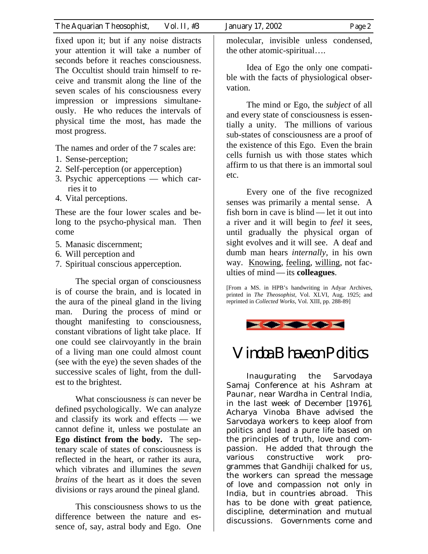| The Aquarian Theosophist,<br>Vol. $II, #3$                                                                                                                                   | <b>January 17, 2002</b><br>Page 2                                                                                                                                                 |
|------------------------------------------------------------------------------------------------------------------------------------------------------------------------------|-----------------------------------------------------------------------------------------------------------------------------------------------------------------------------------|
| fixed upon it; but if any noise distracts<br>your attention it will take a number of                                                                                         | molecular, invisible unless condensed,<br>the other atomic-spiritual                                                                                                              |
| seconds before it reaches consciousness.<br>The Occultist should train himself to re-<br>ceive and transmit along the line of the<br>seven scales of his consciousness every | Idea of Ego the only one compati-<br>ble with the facts of physiological obser-<br>vation.                                                                                        |
| impression or impressions simultane-<br>ously. He who reduces the intervals of<br>physical time the most, has made the<br>most progress.                                     | The mind or Ego, the <i>subject</i> of all<br>and every state of consciousness is essen-<br>tially a unity. The millions of various<br>sub-states of consciousness are a proof of |
| The names and order of the 7 scales are:<br>1. Sense-perception;<br>2. Self-perception (or apperception)<br>3. Psychic apperceptions — which car-                            | the existence of this Ego. Even the brain<br>cells furnish us with those states which<br>affirm to us that there is an immortal soul<br>etc.                                      |
| ries it to<br>4. Vital perceptions.                                                                                                                                          | Every one of the five recognized<br>senses was primarily a mental sense. A                                                                                                        |
| These are the four lower scales and be-<br>long to the psycho-physical man. Then<br>come                                                                                     | fish born in cave is blind — let it out into<br>a river and it will begin to feel it sees,<br>until gradually the physical organ of                                               |
| 5. Manasic discernment;                                                                                                                                                      | sight evolves and it will see. A deaf and                                                                                                                                         |
| 6. Will perception and<br>7. Spiritual conscious apperception.                                                                                                               | dumb man hears <i>internally</i> , in his own<br>way. Knowing, feeling, willing, not fac-<br>ulties of mind—its colleagues.                                                       |
| The special organ of consciousness<br>is of course the brain, and is located in<br>the aura of the pineal gland in the living<br>man. During the process of mind or          | [From a MS. in HPB's handwriting in Adyar Archives,<br>printed in The Theosophist, Vol. XLVI, Aug. 1925; and<br>reprinted in <i>Collected Works</i> , Vol. XIII, pp. 288-89]      |
| thought manifesting to consciousness,<br>constant vibrations of light take place. If                                                                                         | <b>Extra</b> co                                                                                                                                                                   |
| one could see clairvoyantly in the brain<br>of a living man one could almost count<br>(see with the eye) the seven shades of the                                             | Vinoba Bhave on Politics                                                                                                                                                          |

successive scales of light, from the dull-

est to the brightest.

What consciousness *is* can never be defined psychologically. We can analyze and classify its work and effects — we cannot define it, unless we postulate an **Ego distinct from the body.** The septenary scale of states of consciousness is reflected in the heart, or rather its aura, which vibrates and illumines the *seven brains* of the heart as it does the seven divisions or rays around the pineal gland. This consciousness shows to us the difference between the nature and essence of, say, astral body and Ego. One Inaugurating the Sarvodaya Samaj Conference at his Ashram at Paunar, near Wardha in Central India, in the last week of December [1976], Acharya Vinoba Bhave advised the Sarvodaya workers to keep aloof from politics and lead a pure life based on the principles of truth, love and compassion. He added that through the various constructive work programmes that Gandhiji chalked for us, the workers can spread the message of love and compassion not only in India, but in countries abroad. This has to be done with great patience, discipline, determination and mutual discussions. Governments come and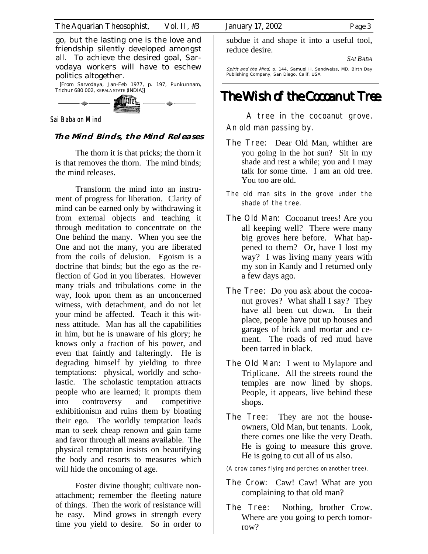go, but the lasting one is the love and friendship silently developed amongst all. To achieve the desired goal, Sarvodaya workers will have to eschew politics altogether.

 [From *Sarvodaya,* Jan-Feb 1977, p. 197, Punkunnam, Trichur 680 002, KERALA STATE (INDIA)]



#### *Sai Baba on Mind*

#### **The Mind Binds, the Mind Releases**

The thorn it is that pricks; the thorn it is that removes the thorn. The mind binds; the mind releases.

Transform the mind into an instrument of progress for liberation. Clarity of mind can be earned only by withdrawing it from external objects and teaching it through meditation to concentrate on the One behind the many. When you see the One and not the many, you are liberated from the coils of delusion. Egoism is a doctrine that binds; but the ego as the reflection of God in you liberates. However many trials and tribulations come in the way, look upon them as an unconcerned witness, with detachment, and do not let your mind be affected. Teach it this witness attitude. Man has all the capabilities in him, but he is unaware of his glory; he knows only a fraction of his power, and even that faintly and falteringly. He is degrading himself by yielding to three temptations: physical, worldly and scholastic. The scholastic temptation attracts people who are learned; it prompts them into controversy and competitive exhibitionism and ruins them by bloating their ego. The worldly temptation leads man to seek cheap renown and gain fame and favor through all means available. The physical temptation insists on beautifying the body and resorts to measures which will hide the oncoming of age.

Foster divine thought; cultivate nonattachment; remember the fleeting nature of things. Then the work of resistance will be easy. Mind grows in strength every time you yield to desire. So in order to subdue it and shape it into a useful tool, reduce desire.

*SAI BABA*

*Spirit and the Mind,* p. 144, Samuel H. Sandweiss, MD, Birth Day<br>Publishing Company, San Diego, Calif. USA

# The Wish of the Cocoanut Tree

A tree in the cocoanut grove. An old man passing by.

- The Tree: Dear Old Man, whither are you going in the hot sun? Sit in my shade and rest a while; you and I may talk for some time. I am an old tree. You too are old.
- The old man sits in the grove under the shade of the tree.
- The Old Man: Cocoanut trees! Are you all keeping well? There were many big groves here before. What happened to them? Or, have I lost my way? I was living many years with my son in Kandy and I returned only a few days ago.
- The Tree: Do you ask about the cocoanut groves? What shall I say? They have all been cut down. In their place, people have put up houses and garages of brick and mortar and cement. The roads of red mud have been tarred in black.
- The Old Man: I went to Mylapore and Triplicane. All the streets round the temples are now lined by shops. People, it appears, live behind these shops.
- The Tree: They are not the houseowners, Old Man, but tenants. Look, there comes one like the very Death. He is going to measure this grove. He is going to cut all of us also.

(A crow comes flying and perches on another tree).

- The Crow: Caw! Caw! What are you complaining to that old man?
- The Tree: Nothing, brother Crow. Where are you going to perch tomorrow?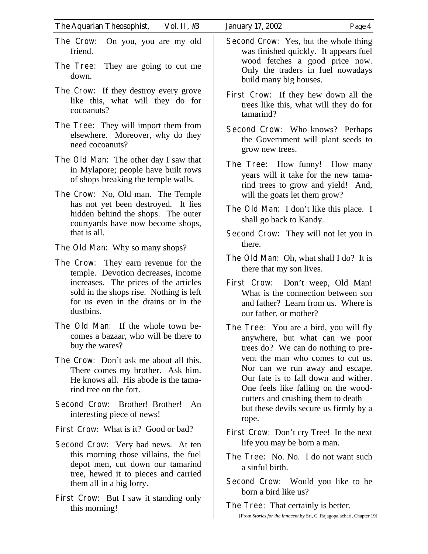| The Aquarian Theosophist,                                                                                                      | January 17, 2002                                                                                                                                                                |
|--------------------------------------------------------------------------------------------------------------------------------|---------------------------------------------------------------------------------------------------------------------------------------------------------------------------------|
| Vol. $II, #3$                                                                                                                  | Page 4                                                                                                                                                                          |
| On you, you are my old<br>The Crow:<br>friend.<br>The Tree:<br>They are going to cut me<br>down.                               | Second Crow: Yes, but the whole thing<br>was finished quickly. It appears fuel<br>wood fetches a good price now.<br>Only the traders in fuel nowadays<br>build many big houses. |
| The Crow: If they destroy every grove                                                                                          | First Crow: If they hew down all the                                                                                                                                            |
| like this, what will they do for                                                                                               | trees like this, what will they do for                                                                                                                                          |
| cocoanuts?                                                                                                                     | tamarind?                                                                                                                                                                       |
| The Tree: They will import them from                                                                                           | Second Crow: Who knows? Perhaps                                                                                                                                                 |
| elsewhere. Moreover, why do they                                                                                               | the Government will plant seeds to                                                                                                                                              |
| need cocoanuts?                                                                                                                | grow new trees.                                                                                                                                                                 |
| The Old Man: The other day I saw that                                                                                          | The Tree: How funny! How many                                                                                                                                                   |
| in Mylapore; people have built rows                                                                                            | years will it take for the new tama-                                                                                                                                            |
| of shops breaking the temple walls.                                                                                            | rind trees to grow and yield! And,                                                                                                                                              |
| The Crow: No, Old man. The Temple                                                                                              | will the goats let them grow?                                                                                                                                                   |
| has not yet been destroyed. It lies<br>hidden behind the shops. The outer<br>courtyards have now become shops,<br>that is all. | The Old Man: I don't like this place. I<br>shall go back to Kandy.<br>Second Crow: They will not let you in                                                                     |
| The Old Man: Why so many shops?                                                                                                | there.                                                                                                                                                                          |
| The Crow: They earn revenue for the                                                                                            | The Old Man: Oh, what shall I do? It is                                                                                                                                         |
| temple. Devotion decreases, income                                                                                             | there that my son lives.                                                                                                                                                        |
| increases. The prices of the articles                                                                                          | First Crow: Don't weep, Old Man!                                                                                                                                                |
| sold in the shops rise. Nothing is left                                                                                        | What is the connection between son                                                                                                                                              |
| for us even in the drains or in the                                                                                            | and father? Learn from us. Where is                                                                                                                                             |
| dustbins.                                                                                                                      | our father, or mother?                                                                                                                                                          |
| The Old Man: If the whole town be-                                                                                             | The Tree: You are a bird, you will fly                                                                                                                                          |
| comes a bazaar, who will be there to                                                                                           | anywhere, but what can we poor                                                                                                                                                  |
| buy the wares?                                                                                                                 | trees do? We can do nothing to pre-                                                                                                                                             |
| The Crow: Don't ask me about all this.                                                                                         | vent the man who comes to cut us.                                                                                                                                               |
| There comes my brother. Ask him.                                                                                               | Nor can we run away and escape.                                                                                                                                                 |
| He knows all. His abode is the tama-                                                                                           | Our fate is to fall down and wither.                                                                                                                                            |
| rind tree on the fort.                                                                                                         | One feels like falling on the wood-                                                                                                                                             |
| Second Crow: Brother! Brother!                                                                                                 | cutters and crushing them to death —                                                                                                                                            |
| An                                                                                                                             | but these devils secure us firmly by a                                                                                                                                          |
| interesting piece of news!                                                                                                     | rope.                                                                                                                                                                           |
| First Crow: What is it? Good or bad?                                                                                           | First Crow: Don't cry Tree! In the next                                                                                                                                         |
| Second Crow: Very bad news. At ten                                                                                             | life you may be born a man.                                                                                                                                                     |
| this morning those villains, the fuel                                                                                          | The Tree: No. No. I do not want such                                                                                                                                            |
| depot men, cut down our tamarind                                                                                               | a sinful birth.                                                                                                                                                                 |
| tree, hewed it to pieces and carried                                                                                           | Second Crow: Would you like to be                                                                                                                                               |
| them all in a big lorry.                                                                                                       | born a bird like us?                                                                                                                                                            |
| First Crow: But I saw it standing only                                                                                         | The Tree: That certainly is better.                                                                                                                                             |
| this morning!                                                                                                                  | [From Stories for the Innocent by Sri, C. Rajagopalachari, Chapter 19]                                                                                                          |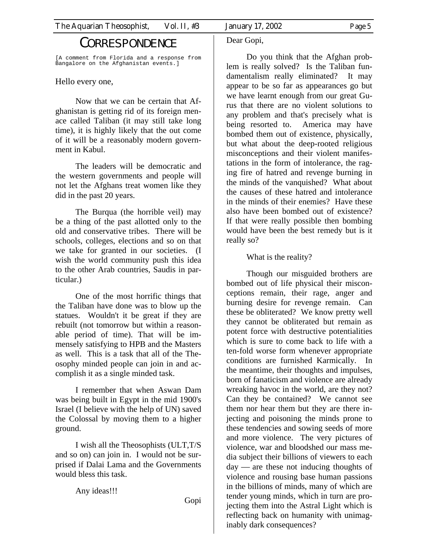# CORRESPONDENCE

[A comment from Florida and a response from Bangalore on the Afghanistan events.]

#### Hello every one,

Now that we can be certain that Afghanistan is getting rid of its foreign menace called Taliban (it may still take long time), it is highly likely that the out come of it will be a reasonably modern government in Kabul.

The leaders will be democratic and the western governments and people will not let the Afghans treat women like they did in the past 20 years.

The Burqua (the horrible veil) may be a thing of the past allotted only to the old and conservative tribes. There will be schools, colleges, elections and so on that we take for granted in our societies. (I wish the world community push this idea to the other Arab countries, Saudis in particular.)

One of the most horrific things that the Taliban have done was to blow up the statues. Wouldn't it be great if they are rebuilt (not tomorrow but within a reasonable period of time). That will be immensely satisfying to HPB and the Masters as well. This is a task that all of the Theosophy minded people can join in and accomplish it as a single minded task.

I remember that when Aswan Dam was being built in Egypt in the mid 1900's Israel (I believe with the help of UN) saved the Colossal by moving them to a higher ground.

I wish all the Theosophists (ULT,T/S and so on) can join in. I would not be surprised if Dalai Lama and the Governments would bless this task.

Any ideas!!!

Gopi

Dear Gopi,

Do you think that the Afghan problem is really solved? Is the Taliban fundamentalism really eliminated? It may appear to be so far as appearances go but we have learnt enough from our great Gurus that there are no violent solutions to any problem and that's precisely what is being resorted to. America may have bombed them out of existence, physically, but what about the deep-rooted religious misconceptions and their violent manifestations in the form of intolerance, the raging fire of hatred and revenge burning in the minds of the vanquished? What about the causes of these hatred and intolerance in the minds of their enemies? Have these also have been bombed out of existence? If that were really possible then bombing would have been the best remedy but is it really so?

#### What is the reality?

Though our misguided brothers are bombed out of life physical their misconceptions remain, their rage, anger and burning desire for revenge remain. Can these be obliterated? We know pretty well they cannot be obliterated but remain as potent force with destructive potentialities which is sure to come back to life with a ten-fold worse form whenever appropriate conditions are furnished Karmically. In the meantime, their thoughts and impulses, born of fanaticism and violence are already wreaking havoc in the world, are they not? Can they be contained? We cannot see them nor hear them but they are there injecting and poisoning the minds prone to these tendencies and sowing seeds of more and more violence. The very pictures of violence, war and bloodshed our mass media subject their billions of viewers to each day — are these not inducing thoughts of violence and rousing base human passions in the billions of minds, many of which are tender young minds, which in turn are projecting them into the Astral Light which is reflecting back on humanity with unimaginably dark consequences?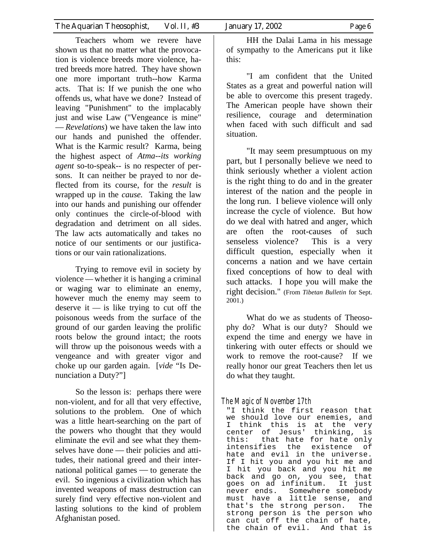Teachers whom we revere have shown us that no matter what the provocation is violence breeds more violence, hatred breeds more hatred. They have shown one more important truth--how Karma acts. That is: If we punish the one who offends us, what have we done? Instead of leaving "Punishment" to the implacably just and wise Law ("Vengeance is mine" — *Revelations*) we have taken the law into our hands and punished the offender. What is the Karmic result? Karma, being the highest aspect of *Atma--its working agent* so-to-speak*--* is no respecter of persons. It can neither be prayed to nor deflected from its course, for the *result* is wrapped up in the *cause.* Taking the law into our hands and punishing our offender only continues the circle-of-blood with degradation and detriment on all sides. The law acts automatically and takes no notice of our sentiments or our justifications or our vain rationalizations.

Trying to remove evil in society by violence — whether it is hanging a criminal or waging war to eliminate an enemy, however much the enemy may seem to deserve it  $-$  is like trying to cut off the poisonous weeds from the surface of the ground of our garden leaving the prolific roots below the ground intact; the roots will throw up the poisonous weeds with a vengeance and with greater vigor and choke up our garden again. [*vide* "Is Denunciation a Duty?"]

So the lesson is: perhaps there were non-violent, and for all that very effective, solutions to the problem. One of which was a little heart-searching on the part of the powers who thought that they would eliminate the evil and see what they themselves have done — their policies and attitudes, their national greed and their international political games — to generate the evil. So ingenious a civilization which has invented weapons of mass destruction can surely find very effective non-violent and lasting solutions to the kind of problem Afghanistan posed.

HH the Dalai Lama in his message of sympathy to the Americans put it like this:

"I am confident that the United States as a great and powerful nation will be able to overcome this present tragedy. The American people have shown their resilience, courage and determination when faced with such difficult and sad situation.

"It may seem presumptuous on my part, but I personally believe we need to think seriously whether a violent action is the right thing to do and in the greater interest of the nation and the people in the long run. I believe violence will only increase the cycle of violence. But how do we deal with hatred and anger, which are often the root-causes of such senseless violence? This is a very difficult question, especially when it concerns a nation and we have certain fixed conceptions of how to deal with such attacks. I hope you will make the right decision." (From *Tibetan Bulletin* for Sept. 2001.)

What do we as students of Theosophy do? What is our duty? Should we expend the time and energy we have in tinkering with outer effects or should we work to remove the root-cause? If we really honor our great Teachers then let us do what they taught.

#### *The Magic of November 17th*

"I think the first reason that we should love our enemies, and I think this is at the very<br>center of Jesus' thinking, is center of Jesus' thinking, is this: that hate for hate only<br>intensifies the existence of intensifies the existence of hate and evil in the universe. If I hit you and you hit me and I hit you back and you hit me back and go on, you see, that goes on ad infinitum. It just never ends. Somewhere somebody must have a little sense, and that's the strong person. The strong person is the person who can cut off the chain of hate, the chain of evil. And that is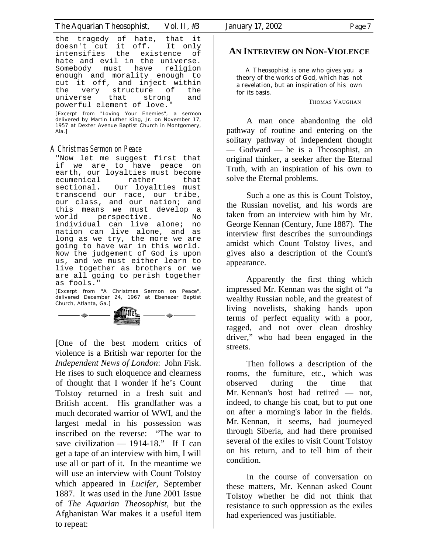the tragedy of hate, that it<br>doesn't cut it off. It only doesn't cut it off. It only<br>intensifies the existence of intensifies the existence of hate and evil in the universe.<br>Somebody must have religion Somebody must have religion enough and morality enough to cut it off, and inject within the very structure of the universe that strong and powerful element of love."

[Excerpt from "Loving Your Enemies", a sermon delivered by Martin Luther King, Jr. on November 17, 1957 at Dexter Avenue Baptist Church in Montgomery, Ala.]

#### *A Christmas Sermon on Peace*

"Now let me suggest first that if we are to have peace on earth, our loyalties must become ecumenical rather that sectional. Our loyalties must transcend our race, our tribe, our class, and our nation; and this means we must develop a world perspective. No individual can live alone; no nation can live alone, and as long as we try, the more we are going to have war in this world. Now the judgement of God is upon us, and we must either learn to live together as brothers or we are all going to perish together as fools."

[Excerpt from "A Christmas Sermon on Peace", delivered December 24, 1967 at Ebenezer Baptist Church, Atlanta, Ga.]



[One of the best modern critics of violence is a British war reporter for the *Independent News of London*: John Fisk. He rises to such eloquence and clearness of thought that I wonder if he's Count Tolstoy returned in a fresh suit and British accent. His grandfather was a much decorated warrior of WWI, and the largest medal in his possession was inscribed on the reverse: "The war to save civilization — 1914-18." If I can get a tape of an interview with him, I will use all or part of it. In the meantime we will use an interview with Count Tolstoy which appeared in *Lucifer,* September 1887. It was used in the June 2001 Issue of *The Aquarian Theosophist,* but the Afghanistan War makes it a useful item to repeat:

#### **AN INTERVIEW ON NON-VIOLENCE**

A Theosophist is one who gives you a theory of the works of God, which has not a revelation, but an inspiration of his own for its basis.

#### THOMAS VAUGHAN

so lve the Eternal problems. A man once abandoning the old pathway of routine and entering on the solitary pathway of independent thought — Godward — he is a Theosophist, an original thinker, a seeker after the Eternal Truth, with an inspiration of his own to

Such a one as this is Count Tolstoy, the Russian novelist, and his words are taken from an interview with him by Mr. George Kennan (Century, June 1887). The interview first describes the surroundings amidst which Count Tolstoy lives, and gives also a description of the Count's appearance.

Apparently the first thing which impressed Mr. Kennan was the sight of "a wealthy Russian noble, and the greatest of living novelists, shaking hands upon terms of perfect equality with a poor, ragged, and not over clean droshky driver," who had been engaged in the streets.

Then follows a description of the rooms, the furniture, etc., which was observed during the time that Mr. Kennan's host had retired — not, indeed, to change his coat, but to put one on after a morning's labor in the fields. Mr. Kennan, it seems, had journeyed through Siberia, and had there promised several of the exiles to visit Count Tolstoy on his return, and to tell him of their condition.

In the course of conversation on these matters, Mr. Kennan asked Count Tolstoy whether he did not think that resistance to such oppression as the exiles had experienced was justifiable.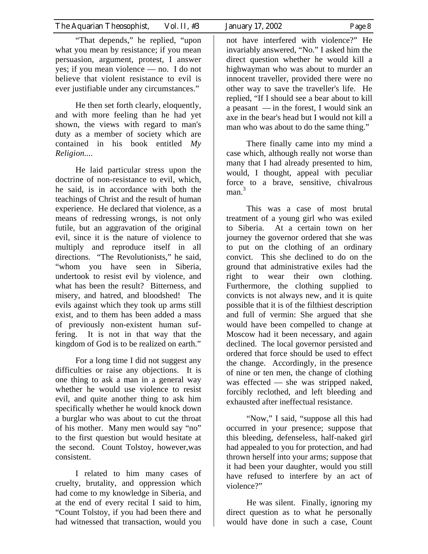"That depends," he replied, "upon what you mean by resistance; if you mean persuasion, argument, protest, I answer yes; if you mean violence — no. I do not believe that violent resistance to evil is ever justifiable under any circumstances."

He then set forth clearly, eloquently, and with more feeling than he had yet shown, the views with regard to man's duty as a member of society which are contained in his book entitled *My Religion....*

He laid particular stress upon the doctrine of non-resistance to evil, which, he said, is in accordance with both the teachings of Christ and the result of human experience. He declared that violence, as a means of redressing wrongs, is not only futile, but an aggravation of the original evil, since it is the nature of violence to multiply and reproduce itself in all directions. "The Revolutionists," he said, "whom you have seen in Siberia, undertook to resist evil by violence, and what has been the result? Bitterness, and misery, and hatred, and bloodshed! The evils against which they took up arms still exist, and to them has been added a mass of previously non-existent human suffering. It is not in that way that the kingdom of God is to be realized on earth."

For a long time I did not suggest any difficulties or raise any objections. It is one thing to ask a man in a general way whether he would use violence to resist evil, and quite another thing to ask him specifically whether he would knock down a burglar who was about to cut the throat of his mother. Many men would say "no" to the first question but would hesitate at the second. Count Tolstoy, however,was consistent.

I related to him many cases of cruelty, brutality, and oppression which had come to my knowledge in Siberia, and at the end of every recital I said to him, "Count Tolstoy, if you had been there and had witnessed that transaction, would you

not have interfered with violence?" He invariably answered, "No." I asked him the direct question whether he would kill a highwayman who was about to murder an innocent traveller, provided there were no other way to save the traveller's life. He replied, "If I should see a bear about to kill a peasant — in the forest, I would sink an axe in the bear's head but I would not kill a man who was about to do the same thing."

There finally came into my mind a case which, although really not worse than many that I had already presented to him, would, I thought, appeal with peculiar force to a brave, sensitive, chivalrous  $man.<sup>3</sup>$ 

This was a case of most brutal treatment of a young girl who was exiled to Siberia. At a certain town on her journey the governor ordered that she was to put on the clothing of an ordinary convict. This she declined to do on the ground that administrative exiles had the right to wear their own clothing. Furthermore, the clothing supplied to convicts is not always new, and it is quite possible that it is of the filthiest description and full of vermin: She argued that she would have been compelled to change at Moscow had it been necessary, and again declined. The local governor persisted and ordered that force should be used to effect the change. Accordingly, in the presence of nine or ten men, the change of clothing was effected — she was stripped naked, forcibly reclothed, and left bleeding and exhausted after ineffectual resistance.

"Now," I said, "suppose all this had occurred in your presence; suppose that this bleeding, defenseless, half-naked girl had appealed to you for protection, and had thrown herself into your arms; suppose that it had been your daughter, would you still have refused to interfere by an act of violence?"

He was silent. Finally, ignoring my direct question as to what he personally would have done in such a case, Count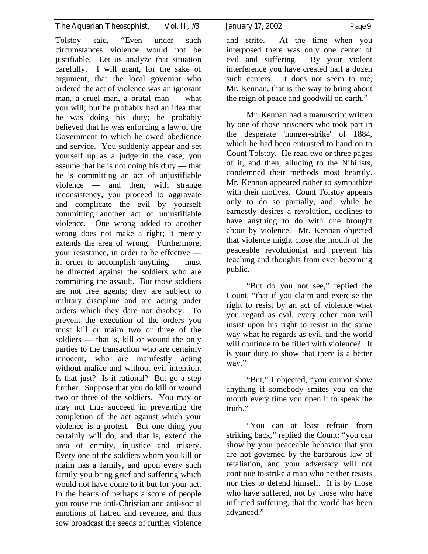Tolstoy said, "Even under such circumstances violence would not be justifiable. Let us analyze that situation carefully. I will grant, for the sake of argument, that the local governor who ordered the act of violence was an ignorant man, a cruel man, a brutal man — what you will; but he probably had an idea that he was doing his duty; he probably believed that he was enforcing a law of the Government to which he owed obedience and service. You suddenly appear and set yourself up as a judge in the case; you assume that he is not doing his duty — that he is committing an act of unjustifiable violence — and then, with strange inconsistency, you proceed to aggravate and complicate the evil by yourself committing another act of unjustifiable violence. One wrong added to another wrong does not make a right; it merely extends the area of wrong. Furthermore, your resistance, in order to be effective in order to accomplish anything — must be directed against the soldiers who are committing the assault. But those soldiers are not free agents; they are subject to military discipline and are acting under orders which they dare not disobey. To prevent the execution of the orders you must kill or maim two or three of the soldiers — that is, kill or wound the only parties to the transaction who are certainly innocent, who are manifestly acting without malice and without evil intention. Is that just? Is it rational? But go a step further. Suppose that you do kill or wound two or three of the soldiers. You may or may not thus succeed in preventing the completion of the act against which your violence is a protest. But one thing you certainly will do, and that is, extend the area of enmity, injustice and misery. Every one of the soldiers whom you kill or maim has a family, and upon every such family you bring grief and suffering which would not have come to it but for your act. In the hearts of perhaps a score of people you rouse the anti-Christian and anti-social emotions of hatred and revenge, and thus sow broadcast the seeds of further violence

and strife. At the time when you interposed there was only one center of evil and suffering. By your violent interference you have created half a dozen such centers. It does not seem to me, Mr. Kennan, that is the way to bring about the reign of peace and goodwill on earth."

Mr. Kennan had a manuscript written by one of those prisoners who took part in the desperate 'hunger-strike' of 1884, which he had been entrusted to hand on to Count Tolstoy. He read two or three pages of it, and then, alluding to the Nihilists, condemned their methods most heartily. Mr. Kennan appeared rather to sympathize with their motives. Count Tolstoy appears only to do so partially, and, while he earnestly desires a revolution, declines to have anything to do with one brought about by violence. Mr. Kennan objected that violence might close the mouth of the peaceable revolutionist and prevent his teaching and thoughts from ever becoming public.

"But do you not see," replied the Count, "that if you claim and exercise the right to resist by an act of violence what you regard as evil, every other man will insist upon his right to resist in the same way what he regards as evil, and the world will continue to be filled with violence? It is your duty to show that there is a better way."

"But," I objected, "you cannot show anything if somebody smites you on the mouth every time you open it to speak the truth."

"You can at least refrain from striking back," replied the Count; "you can show by your peaceable behavior that you are not governed by the barbarous law of retaliation, and your adversary will not continue to strike a man who neither resists nor tries to defend himself. It is by those who have suffered, not by those who have inflicted suffering, that the world has been advanced."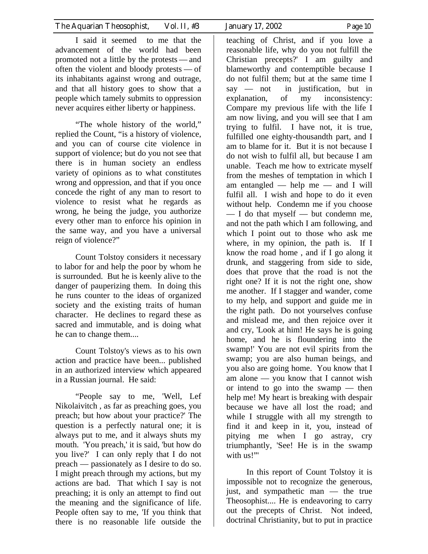I said it seemed to me that the advancement of the world had been promoted not a little by the protests — and often the violent and bloody protests — of its inhabitants against wrong and outrage, and that all history goes to show that a people which tamely submits to oppression never acquires either liberty or happiness.

"The whole history of the world," replied the Count, "is a history of violence, and you can of course cite violence in support of violence; but do you not see that there is in human society an endless variety of opinions as to what constitutes wrong and oppression, and that if you once concede the right of any man to resort to violence to resist what he regards as wrong, he being the judge, you authorize every other man to enforce his opinion in the same way, and you have a universal reign of violence?"

Count Tolstoy considers it necessary to labor for and help the poor by whom he is surrounded. But he is keenly alive to the danger of pauperizing them. In doing this he runs counter to the ideas of organized society and the existing traits of human character. He declines to regard these as sacred and immutable, and is doing what he can to change them....

Count Tolstoy's views as to his own action and practice have been... published in an authorized interview which appeared in a Russian journal. He said:

"People say to me, 'Well, Lef Nikolaivitch , as far as preaching goes, you preach; but how about your practice?' The question is a perfectly natural one; it is always put to me, and it always shuts my mouth. 'You preach,' it is said, 'but how do you live?' I can only reply that I do not preach — passionately as I desire to do so. I might preach through my actions, but my actions are bad. That which I say is not preaching; it is only an attempt to find out the meaning and the significance of life. People often say to me, 'If you think that there is no reasonable life outside the

teaching of Christ, and if you love a reasonable life, why do you not fulfill the Christian precepts?' I am guilty and blameworthy and contemptible because I do not fulfil them; but at the same time I say — not in justification, but in explanation, of my inconsistency: Compare my previous life with the life I am now living, and you will see that I am trying to fulfil. I have not, it is true, fulfilled one eighty-thousandth part, and I am to blame for it. But it is not because I do not wish to fulfil all, but because I am unable. Teach me how to extricate myself from the meshes of temptation in which I am entangled — help me — and I will fulfil all. I wish and hope to do it even without help. Condemn me if you choose — I do that myself — but condemn me, and not the path which I am following, and which I point out to those who ask me where, in my opinion, the path is. If I know the road home , and if I go along it drunk, and staggering from side to side, does that prove that the road is not the right one? If it is not the right one, show me another. If I stagger and wander, come to my help, and support and guide me in the right path. Do not yourselves confuse and mislead me, and then rejoice over it and cry, 'Look at him! He says he is going home, and he is floundering into the swamp!' You are not evil spirits from the swamp; you are also human beings, and you also are going home. You know that I am alone — you know that I cannot wish or intend to go into the swamp — then help me! My heart is breaking with despair because we have all lost the road; and while I struggle with all my strength to find it and keep in it, you, instead of pitying me when I go astray, cry triumphantly, 'See! He is in the swamp with us!"

In this report of Count Tolstoy it is impossible not to recognize the generous, just, and sympathetic man — the true Theosophist.... He is endeavoring to carry out the precepts of Christ. Not indeed, doctrinal Christianity, but to put in practice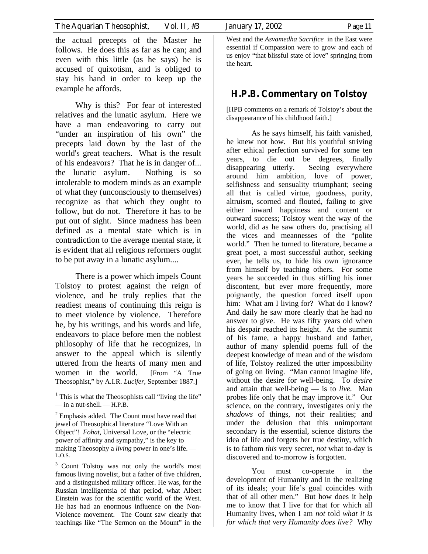the actual precepts of the Master he follows. He does this as far as he can; and even with this little (as he says) he is accused of quixotism, and is obliged to stay his hand in order to keep up the example he affords.

Why is this? For fear of interested relatives and the lunatic asylum. Here we have a man endeavoring to carry out "under an inspiration of his own" the precepts laid down by the last of the world's great teachers. What is the result of his endeavors? That he is in danger of... the lunatic asylum. Nothing is so intolerable to modern minds as an example of what they (unconsciously to themselves) recognize as that which they ought to follow, but do not. Therefore it has to be put out of sight. Since madness has been defined as a mental state which is in contradiction to the average mental state, it is evident that all religious reformers ought to be put away in a lunatic asylum....

There is a power which impels Count Tolstoy to protest against the reign of violence, and he truly replies that the readiest means of continuing this reign is to meet violence by violence. Therefore he, by his writings, and his words and life, endeavors to place before men the noblest philosophy of life that he recognizes, in answer to the appeal which is silently uttered from the hearts of many men and women in the world. [From "A True Theosophist," by A.I.R. *Lucifer*, September 1887.]

<sup>3</sup> Count Tolstoy was not only the world's most famous living novelist, but a father of five children, and a distinguished military officer. He was, for the Russian intelligentsia of that period, what Albert Einstein was for the scientific world of the West. He has had an enormous influence on the Non-Violence movement. The Count saw clearly that teachings like "The Sermon on the Mount" in the

West and the *Asvamedha Sacrifice* in the East were essential if Compassion were to grow and each of us enjoy "that blissful state of love" springing from the heart.

### *H.P.B. Commentary on Tolstoy*

[HPB comments on a remark of Tolstoy's about the disappearance of his childhood faith.]

As he says himself, his faith vanished, he knew not how. But his youthful striving after ethical perfection survived for some ten years, to die out be degrees, finally disappearing utterly. Seeing everywhere around him ambition, love of power, selfishness and sensuality triumphant; seeing all that is called virtue, goodness, purity, altruism, scorned and flouted, failing to give either inward happiness and content or outward success; Tolstoy went the way of the world, did as he saw others do, practising all the vices and meannesses of the "polite world." Then he turned to literature, became a great poet, a most successful author, seeking ever, he tells us, to hide his own ignorance from himself by teaching others. For some years he succeeded in thus stifling his inner discontent, but ever more frequently, more poignantly, the question forced itself upon him: What am I living for? What do I know? And daily he saw more clearly that he had no answer to give. He was fifty years old when his despair reached its height. At the summit of his fame, a happy husband and father, author of many splendid poems full of the deepest knowledge of mean and of the wisdom of life, Tolstoy realized the utter impossibility of going on living. "Man cannot imagine life, without the desire for well-being. To *desire*  and attain that well-being — is to *live.* Man probes life only that he may improve it." Our science, on the contrary, investigates only the *shadows* of things, not their realities; and under the delusion that this unimportant secondary is the essential, science distorts the idea of life and forgets her true destiny, which is to fathom *this* very secret, *not* what to-day is discovered and to-morrow is forgotten.

You must co-operate in the development of Humanity and in the realizing of its ideals; your life's goal coincides with that of all other men." But how does it help me to know that I live for that for which all Humanity lives, when I am *not* told *what it is for which that very Humanity does live?* Why

 $<sup>1</sup>$  This is what the Theosophists call "living the life"</sup> — in a nut-shell. — H.P.B.

 $2$  Emphasis added. The Count must have read that jewel of Theosophical literature "Love With an Object"! *Fohat,* Universal Love, or the "electric power of affinity and sympathy," is the key to making Theosophy a *living* power in one's life. — L.O.S.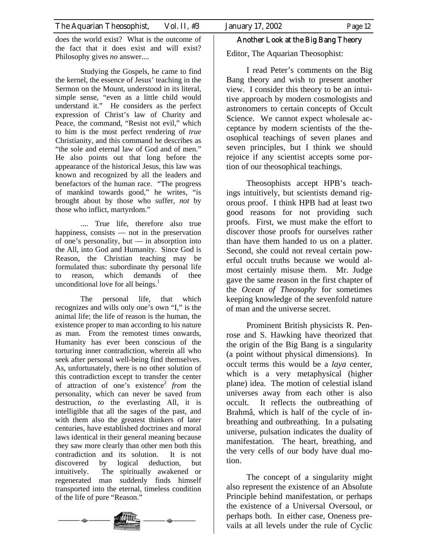does the world exist? What is the outcome of the fact that it does exist and will exist? Philosophy gives *no* answer....

Studying the Gospels, he came to find the kernel, the essence of Jesus' teaching in the Sermon on the Mount, understood in its literal, simple sense, "even as a little child would understand it." He considers as the perfect expression of Christ's law of Charity and Peace, the command, "Resist not evil," which to him is the most perfect rendering of *true* Christianity, and this command he describes as "the sole and eternal law of God and of men." He also points out that long before the appearance of the historical Jesus, this law was known and recognized by all the leaders and benefactors of the human race. "The progress of mankind towards good," he writes, "is brought about by those who suffer, *not* by those who inflict, martyrdom."

.... True life, therefore also true happiness, consists — not in the preservation of one's personality, but — in absorption into the All, into God and Humanity. Since God is Reason, the Christian teaching may be formulated thus: subordinate thy personal life to reason, which demands of thee unconditional love for all beings. $<sup>1</sup>$ </sup>

The personal life, that which recognizes and wills only one's own "I," is the animal life; the life of reason is the human, the existence proper to man according to his nature as man. From the remotest times onwards, Humanity has ever been conscious of the torturing inner contradiction, wherein all who seek after personal well-being find themselves. As, unfortunately, there is no other solution of this contradiction except to transfer the center of attraction of one's existence<sup>2</sup> *from* the personality, which can never be saved from destruction, *to* the everlasting All, it is intelligible that all the sages of the past, and with them also the greatest thinkers of later centuries, have established doctrines and moral laws identical in their general meaning because they saw more clearly than other men both this contradiction and its solution. It is not discovered by logical deduction, but intuitively. The spiritually awakened or regenerated man suddenly finds himself transported into the eternal, timeless condition of the life of pure "Reason."



#### Another Look at the Big Bang Theory

Editor, The Aquarian Theosophist:

I read Peter's comments on the Big Bang theory and wish to present another view. I consider this theory to be an intuitive approach by modern cosmologists and astronomers to certain concepts of Occult Science. We cannot expect wholesale acceptance by modern scientists of the theosophical teachings of seven planes and seven principles, but I think we should rejoice if any scientist accepts some portion of our theosophical teachings.

Theosophists accept HPB's teachings intuitively, but scientists demand rigorous proof. I think HPB had at least two good reasons for not providing such proofs. First, we must make the effort to discover those proofs for ourselves rather than have them handed to us on a platter. Second, she could not reveal certain powerful occult truths because we would almost certainly misuse them. Mr. Judge gave the same reason in the first chapter of the *Ocean of Theosophy* for sometimes keeping knowledge of the sevenfold nature of man and the universe secret.

Prominent British physicists R. Penrose and S. Hawking have theorized that the origin of the Big Bang is a singularity (a point without physical dimensions). In occult terms this would be a *laya* center, which is a very metaphysical (higher plane) idea. The motion of celestial island universes away from each other is also occult. It reflects the outbreathing of Brahmâ, which is half of the cycle of inbreathing and outbreathing. In a pulsating universe, pulsation indicates the duality of manifestation. The heart, breathing, and the very cells of our body have dual motion.

The concept of a singularity might also represent the existence of an Absolute Principle behind manifestation, or perhaps the existence of a Universal Oversoul, or perhaps both. In either case, Oneness prevails at all levels under the rule of Cyclic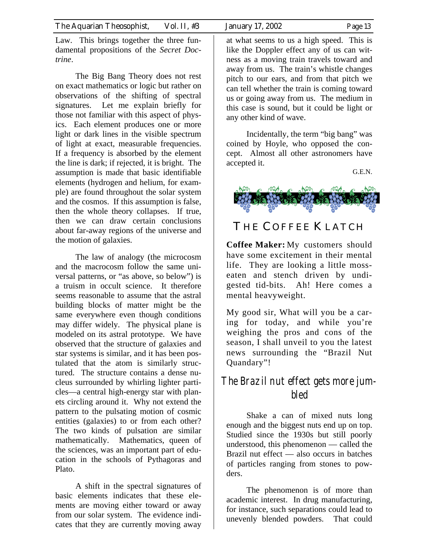Law. This brings together the three fundamental propositions of the *Secret Doctrine*.

The Big Bang Theory does not rest on exact mathematics or logic but rather on observations of the shifting of spectral signatures. Let me explain briefly for those not familiar with this aspect of physics. Each element produces one or more light or dark lines in the visible spectrum of light at exact, measurable frequencies. If a frequency is absorbed by the element the line is dark; if rejected, it is bright. The assumption is made that basic identifiable elements (hydrogen and helium, for example) are found throughout the solar system and the cosmos. If this assumption is false, then the whole theory collapses. If true, then we can draw certain conclusions about far-away regions of the universe and the motion of galaxies.

The law of analogy (the microcosm and the macrocosm follow the same universal patterns, or "as above, so below") is a truism in occult science. It therefore seems reasonable to assume that the astral building blocks of matter might be the same everywhere even though conditions may differ widely. The physical plane is modeled on its astral prototype. We have observed that the structure of galaxies and star systems is similar, and it has been postulated that the atom is similarly structured. The structure contains a dense nucleus surrounded by whirling lighter particles—a central high-energy star with planets circling around it. Why not extend the pattern to the pulsating motion of cosmic entities (galaxies) to or from each other? The two kinds of pulsation are similar mathematically. Mathematics, queen of the sciences, was an important part of education in the schools of Pythagoras and Plato.

A shift in the spectral signatures of basic elements indicates that these elements are moving either toward or away from our solar system. The evidence indicates that they are currently moving away

at what seems to us a high speed. This is like the Doppler effect any of us can witness as a moving train travels toward and away from us. The train's whistle changes pitch to our ears, and from that pitch we can tell whether the train is coming toward us or going away from us. The medium in this case is sound, but it could be light or any other kind of wave.

Incidentally, the term "big bang" was coined by Hoyle, who opposed the concept. Almost all other astronomers have accepted it.

G.E.N.



# THE COFFEE KLATCH

**Coffee Maker:** My customers should have some excitement in their mental life. They are looking a little mosseaten and stench driven by undigested tid-bits. Ah! Here comes a mental heavyweight.

My good sir, What will you be a caring for today, and while you're weighing the pros and cons of the season, I shall unveil to you the latest news surrounding the "Brazil Nut Quandary"!

# The Brazil nut effect gets more jumbled

Shake a can of mixed nuts long enough and the biggest nuts end up on top. Studied since the 1930s but still poorly understood, this phenomenon — called the Brazil nut effect — also occurs in batches of particles ranging from stones to powders.

The phenomenon is of more than academic interest. In drug manufacturing, for instance, such separations could lead to unevenly blended powders. That could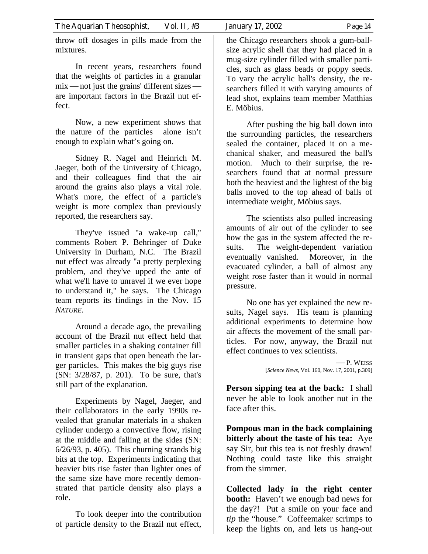throw off dosages in pills made from the mixtures.

In recent years, researchers found that the weights of particles in a granular mix — not just the grains' different sizes are important factors in the Brazil nut effect.

Now, a new experiment shows that the nature of the particles alone isn't enough to explain what's going on.

Sidney R. Nagel and Heinrich M. Jaeger, both of the University of Chicago, and their colleagues find that the air around the grains also plays a vital role. What's more, the effect of a particle's weight is more complex than previously reported, the researchers say.

They've issued "a wake-up call," comments Robert P. Behringer of Duke University in Durham, N.C. The Brazil nut effect was already "a pretty perplexing problem, and they've upped the ante of what we'll have to unravel if we ever hope to understand it," he says. The Chicago team reports its findings in the Nov. 15 *NATURE.*

Around a decade ago, the prevailing account of the Brazil nut effect held that smaller particles in a shaking container fill in transient gaps that open beneath the larger particles. This makes the big guys rise (SN: 3/28/87, p. 201). To be sure, that's still part of the explanation.

Experiments by Nagel, Jaeger, and their collaborators in the early 1990s revealed that granular materials in a shaken cylinder undergo a convective flow, rising at the middle and falling at the sides (SN:  $6/26/93$ , p. 405). This churning strands big bits at the top. Experiments indicating that heavier bits rise faster than lighter ones of the same size have more recently demonstrated that particle density also plays a role.

To look deeper into the contribution of particle density to the Brazil nut effect,

the Chicago researchers shook a gum-ballsize acrylic shell that they had placed in a mug-size cylinder filled with smaller particles, such as glass beads or poppy seeds. To vary the acrylic ball's density, the researchers filled it with varying amounts of lead shot, explains team member Matthias E. Möbius.

After pushing the big ball down into the surrounding particles, the researchers sealed the container, placed it on a mechanical shaker, and measured the ball's motion. Much to their surprise, the researchers found that at normal pressure both the heaviest and the lightest of the big balls moved to the top ahead of balls of intermediate weight, Möbius says.

The scientists also pulled increasing amounts of air out of the cylinder to see how the gas in the system affected the results. The weight-dependent variation eventually vanished. Moreover, in the evacuated cylinder, a ball of almost any weight rose faster than it would in normal pressure.

No one has yet explained the new results, Nagel says. His team is planning additional experiments to determine how air affects the movement of the small particles. For now, anyway, the Brazil nut effect continues to vex scientists.

> —P. WEISS [*Science News,* Vol. 160, Nov. 17, 2001, p.309]

**Person sipping tea at the back:** I shall never be able to look another nut in the face after this.

**Pompous man in the back complaining bitterly about the taste of his tea:** Aye say Sir, but this tea is not freshly drawn! Nothing could taste like this straight from the simmer.

**Collected lady in the right center booth:** Haven't we enough bad news for the day?! Put a smile on your face and *tip* the "house." Coffeemaker scrimps to keep the lights on, and lets us hang-out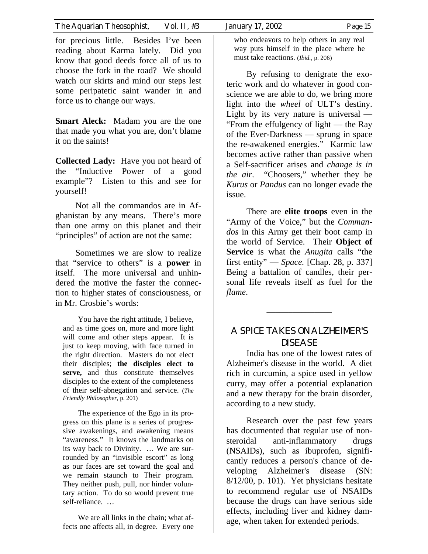for precious little. Besides I've been reading about Karma lately. Did you know that good deeds force all of us to choose the fork in the road? We should watch our skirts and mind our steps lest some peripatetic saint wander in and force us to change our ways.

**Smart Aleck:** Madam you are the one that made you what you are, don't blame it on the saints!

**Collected Lady:** Have you not heard of the "Inductive Power of a good example"? Listen to this and see for yourself!

Not all the commandos are in Afghanistan by any means. There's more than one army on this planet and their "principles" of action are not the same:

Sometimes we are slow to realize that "service to others" is a **power** in itself. The more universal and unhindered the motive the faster the connection to higher states of consciousness, or in Mr. Crosbie's words:

You have the right attitude, I believe, and as time goes on, more and more light will come and other steps appear. It is just to keep moving, with face turned in the right direction. Masters do not elect their disciples; **the disciples elect to serve,** and thus constitute themselves disciples to the extent of the completeness of their self-abnegation and service. (*The Friendly Philosopher,* p. 201)

The experience of the Ego in its progress on this plane is a series of progressive awakenings, and awakening means "awareness." It knows the landmarks on its way back to Divinity. … We are surrounded by an "invisible escort" as long as our faces are set toward the goal and we remain staunch to Their program. They neither push, pull, nor hinder voluntary action. To do so would prevent true self-reliance. …

We are all links in the chain; what affects one affects all, in degree. Every one

who endeavors to help others in any real way puts himself in the place where he must take reactions. (*Ibid.,* p. 206)

By refusing to denigrate the exoteric work and do whatever in good conscience we are able to do, we bring more light into the *wheel* of ULT's destiny. Light by its very nature is universal — "From the effulgency of light — the Ray of the Ever-Darkness — sprung in space the re-awakened energies." Karmic law becomes active rather than passive when a Self-sacrificer arises and *change is in the air*. "Choosers," whether they be *Kurus* or *Pandus* can no longer evade the issue.

There are **elite troops** even in the "Army of the Voice," but the *Commandos* in this Army get their boot camp in the world of Service. Their **Object of Service** is what the *Anugita* calls "the first entity" — *Space.* [Chap. 28, p. 337] Being a battalion of candles, their personal life reveals itself as fuel for the *flame*.

## A SPICE TAKES ON ALZHEIMER'S DISEASE

\_\_\_\_\_\_\_\_\_\_\_\_\_\_\_

India has one of the lowest rates of Alzheimer's disease in the world. A diet rich in curcumin, a spice used in yellow curry, may offer a potential explanation and a new therapy for the brain disorder, according to a new study.

Research over the past few years has documented that regular use of nonsteroidal anti-inflammatory drugs (NSAIDs), such as ibuprofen, significantly reduces a person's chance of developing Alzheimer's disease (SN: 8/12/00, p. 101). Yet physicians hesitate to recommend regular use of NSAIDs because the drugs can have serious side effects, including liver and kidney damage, when taken for extended periods.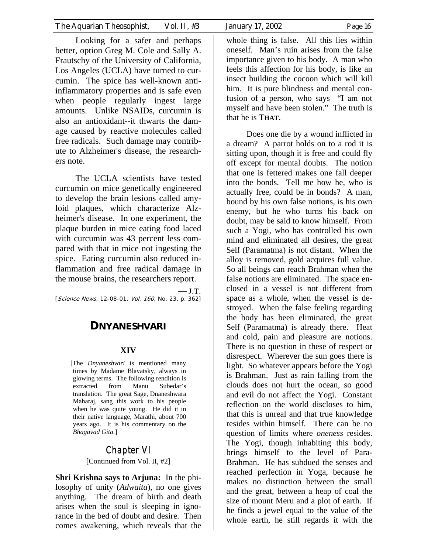Looking for a safer and perhaps better, option Greg M. Cole and Sally A. Frautschy of the University of California, Los Angeles (UCLA) have turned to curcumin. The spice has well-known antiinflammatory properties and is safe even when people regularly ingest large amounts. Unlike NSAIDs, curcumin is also an antioxidant--it thwarts the damage caused by reactive molecules called free radicals. Such damage may contribute to Alzheimer's disease, the researchers note.

The UCLA scientists have tested curcumin on mice genetically engineered to develop the brain lesions called amyloid plaques, which characterize Alzheimer's disease. In one experiment, the plaque burden in mice eating food laced with curcumin was 43 percent less compared with that in mice not ingesting the spice. Eating curcumin also reduced inflammation and free radical damage in the mouse brains, the researchers report.

 $\overline{\phantom{0}}$  J.T. [Science News, 12-08-01, Vol. 160, No. 23, p. 362]

## **DNYANESHVARI**

#### **XIV**

[The *Dnyaneshvari* is mentioned many times by Madame Blavatsky, always in glowing terms. The following rendition is extracted from Manu Subedar's translation. The great Sage, Dnaneshwara Maharaj, sang this work to his people when he was quite young. He did it in their native language, Marathi, about 700 years ago. It is his commentary on the *Bhagavad Gita.*]

### Chapter VI

#### [Continued from Vol. II, #2]

**Shri Krishna says to Arjuna:** In the philosophy of unity (*Adwaita*), no one gives anything. The dream of birth and death arises when the soul is sleeping in ignorance in the bed of doubt and desire. Then comes awakening, which reveals that the

whole thing is false. All this lies within oneself. Man's ruin arises from the false importance given to his body. A man who feels this affection for his body, is like an insect building the cocoon which will kill him. It is pure blindness and mental confusion of a person, who says "I am not myself and have been stolen." The truth is that he is **THAT**.

Does one die by a wound inflicted in a dream? A parrot holds on to a rod it is sitting upon, though it is free and could fly off except for mental doubts. The notion that one is fettered makes one fall deeper into the bonds. Tell me how he, who is actually free, could be in bonds? A man, bound by his own false notions, is his own enemy, but he who turns his back on doubt, may be said to know himself. From such a Yogi, who has controlled his own mind and eliminated all desires, the great Self (Paramatma) is not distant. When the alloy is removed, gold acquires full value. So all beings can reach Brahman when the false notions are eliminated. The space enclosed in a vessel is not different from space as a whole, when the vessel is destroyed. When the false feeling regarding the body has been eliminated, the great Self (Paramatma) is already there. Heat and cold, pain and pleasure are notions. There is no question in these of respect or disrespect. Wherever the sun goes there is light. So whatever appears before the Yogi is Brahman. Just as rain falling from the clouds does not hurt the ocean, so good and evil do not affect the Yogi. Constant reflection on the world discloses to him, that this is unreal and that true knowledge resides within himself. There can be no question of limits where *oneness* resides. The Yogi, though inhabiting this body, brings himself to the level of Para-Brahman. He has subdued the senses and reached perfection in Yoga, because he makes no distinction between the small and the great, between a heap of coal the size of mount Meru and a plot of earth. If he finds a jewel equal to the value of the whole earth, he still regards it with the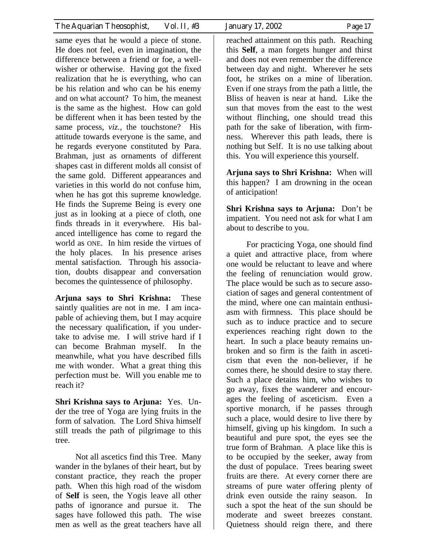same eyes that he would a piece of stone. He does not feel, even in imagination, the difference between a friend or foe, a wellwisher or otherwise. Having got the fixed realization that he is everything, who can be his relation and who can be his enemy and on what account? To him, the meanest is the same as the highest. How can gold be different when it has been tested by the same process, *viz.,* the touchstone? His attitude towards everyone is the same, and he regards everyone constituted by Para. Brahman, just as ornaments of different shapes cast in different molds all consist of the same gold. Different appearances and varieties in this world do not confuse him, when he has got this supreme knowledge. He finds the Supreme Being is every one just as in looking at a piece of cloth, one finds threads in it everywhere. His balanced intelligence has come to regard the world as ONE. In him reside the virtues of the holy places. In his presence arises mental satisfaction. Through his association, doubts disappear and conversation becomes the quintessence of philosophy.

**Arjuna says to Shri Krishna:** These saintly qualities are not in me. I am incapable of achieving them, but I may acquire the necessary qualification, if you undertake to advise me. I will strive hard if I can become Brahman myself. In the meanwhile, what you have described fills me with wonder. What a great thing this perfection must be. Will you enable me to reach it?

**Shri Krishna says to Arjuna:** Yes. Under the tree of Yoga are lying fruits in the form of salvation. The Lord Shiva himself still treads the path of pilgrimage to this tree.

Not all ascetics find this Tree. Many wander in the bylanes of their heart, but by constant practice, they reach the proper path. When this high road of the wisdom of **Self** is seen, the Yogis leave all other paths of ignorance and pursue it. The sages have followed this path. The wise men as well as the great teachers have all

reached attainment on this path. Reaching this **Self**, a man forgets hunger and thirst and does not even remember the difference between day and night. Wherever he sets foot, he strikes on a mine of liberation. Even if one strays from the path a little, the Bliss of heaven is near at hand. Like the sun that moves from the east to the west without flinching, one should tread this path for the sake of liberation, with firmness. Wherever this path leads, there is nothing but Self. It is no use talking about this. You will experience this yourself.

**Arjuna says to Shri Krishna:** When will this happen? I am drowning in the ocean of anticipation!

**Shri Krishna says to Arjuna:** Don't be impatient. You need not ask for what I am about to describe to you.

For practicing Yoga, one should find a quiet and attractive place, from where one would be reluctant to leave and where the feeling of renunciation would grow. The place would be such as to secure association of sages and general contentment of the mind, where one can maintain enthusiasm with firmness. This place should be such as to induce practice and to secure experiences reaching right down to the heart. In such a place beauty remains unbroken and so firm is the faith in asceticism that even the non-believer, if he comes there, he should desire to stay there. Such a place detains him, who wishes to go away, fixes the wanderer and encourages the feeling of asceticism. Even a sportive monarch, if he passes through such a place, would desire to live there by himself, giving up his kingdom. In such a beautiful and pure spot, the eyes see the true form of Brahman. A place like this is to be occupied by the seeker, away from the dust of populace. Trees bearing sweet fruits are there. At every corner there are streams of pure water offering plenty of drink even outside the rainy season. In such a spot the heat of the sun should be moderate and sweet breezes constant. Quietness should reign there, and there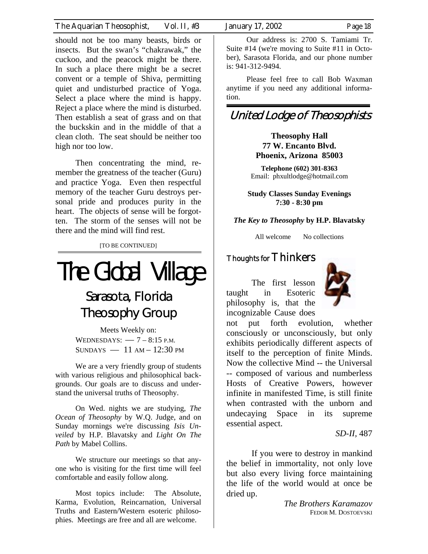should not be too many beasts, birds or insects. But the swan's "chakrawak," the cuckoo, and the peacock might be there. In such a place there might be a secret convent or a temple of Shiva, permitting quiet and undisturbed practice of Yoga. Select a place where the mind is happy. Reject a place where the mind is disturbed. Then establish a seat of grass and on that the buckskin and in the middle of that a clean cloth. The seat should be neither too high nor too low.

Then concentrating the mind, remember the greatness of the teacher (Guru) and practice Yoga. Even then respectful memory of the teacher Guru destroys personal pride and produces purity in the heart. The objects of sense will be forgotten. The storm of the senses will not be there and the mind will find rest.

[TO BE CONTINUED]

# The Global Village Sarasota, Florida Theosophy Group

Meets Weekly on: WEDNESDAYS:  $-7-8:15$  P.M. SUNDAYS  $- 11$  AM  $- 12:30$  PM

We are a very friendly group of students with various religious and philosophical backgrounds. Our goals are to discuss and understand the universal truths of Theosophy.

On Wed. nights we are studying, *The Ocean of Theosophy* by W.Q. Judge, and on Sunday mornings we're discussing *Isis Unveiled* by H.P. Blavatsky and *Light On The Path* by Mabel Collins.

We structure our meetings so that anyone who is visiting for the first time will feel comfortable and easily follow along.

Most topics include: The Absolute, Karma, Evolution, Reincarnation, Universal Truths and Eastern/Western esoteric philosophies. Meetings are free and all are welcome.

Our address is: 2700 S. Tamiami Tr. Suite #14 (we're moving to Suite #11 in October), Sarasota Florida, and our phone number is: 941-312-9494.

Please feel free to call Bob Waxman anytime if you need any additional information.

# United Lodge of Theosophists

**Theosophy Hall 77 W. Encanto Blvd. Phoenix, Arizona 85003** 

**Telephone (602) 301-8363**  Email: phxultlodge@hotmail.com

**Study Classes Sunday Evenings 7:30 - 8:30 pm** 

#### *The Key to Theosophy* **by H.P. Blavatsky**

All welcome No collections

## Thoughts for Thinkers

The first lesson taught in Esoteric philosophy is, that the incognizable Cause does

essential aspect.

not put forth evolution, whether consciously or unconsciously, but only exhibits periodically different aspects of itself to the perception of finite Minds. Now the collective Mind -- the Universal -- composed of various and numberless Hosts of Creative Powers, however infinite in manifested Time, is still finite when contrasted with the unborn and undecaying Space in its supreme

*SD-II,* 487

If you were to destroy in mankind the belief in immortality, not only love but also every living force maintaining the life of the world would at once be dried up.

> *The Brothers Karamazov* FEDOR M. DOSTOEVSKI

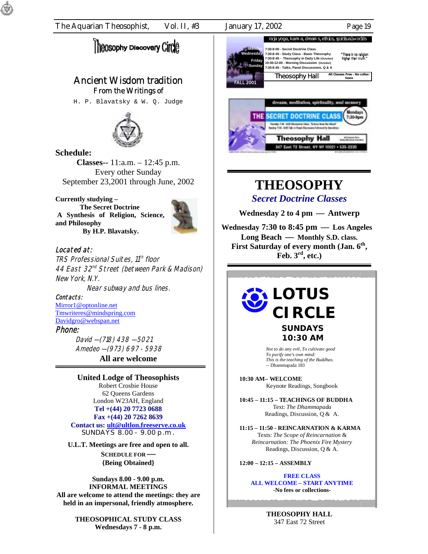

**Sundays 8.00 - 9.00 p.m. INFORMAL MEETINGS All are welcome to attend the meetings: they are held in an impersonal, friendly atmosphere.** 

> **THEOSOPHICAL STUDY CLASS Wednesdays 7 - 8 p.m.**

**THEOSOPHY HALL**  347 East 72 Street

**ALL WELCOME – START ANYTIME -No fees or collections-**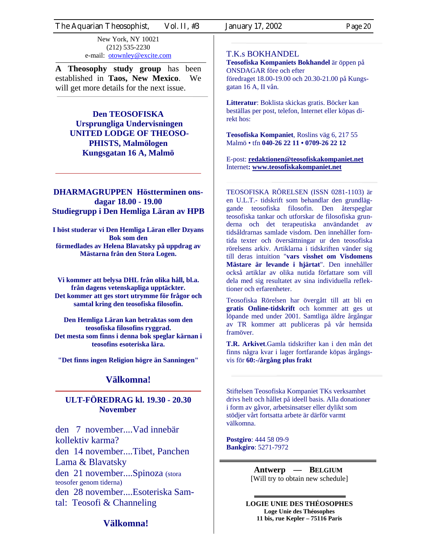New York, NY 10021 (212) 535-2230 e-mail: otownley@excite.com

**A Theosophy study group** has been established in **Taos, New Mexico**. We will get more details for the next issue.

**Den TEOSOFISKA Ursprungliga Undervisningen UNITED LODGE OF THEOSO-PHISTS, Malmölogen Kungsgatan 16 A, Malmö**

#### **DHARMAGRUPPEN Höstterminen onsdagar 18.00 - 19.00 Studiegrupp i Den Hemliga Läran av HPB**

**I höst studerar vi Den Hemliga Läran eller Dzyans Bok som den förmedlades av Helena Blavatsky på uppdrag av Mästarna från den Stora Logen.** 

**Vi kommer att belysa DHL från olika håll, bl.a. från dagens vetenskapliga upptäckter. Det kommer att ges stort utrymme för frågor och samtal kring den teosofiska filosofin.** 

**Den Hemliga Läran kan betraktas som den teosofiska filosofins ryggrad. Det mesta som finns i denna bok speglar kärnan i teosofins esoteriska lära.** 

**"Det finns ingen Religion högre än Sanningen"** 

#### **Välkomna!**

#### **ULT-FÖREDRAG kl. 19.30 - 20.30 November**

den 7 november....Vad innebär kollektiv karma? den 14 november....Tibet, Panchen Lama & Blavatsky den 21 november....Spinoza (stora teosofer genom tiderna) den 28 november....Esoteriska Samtal: Teosofi & Channeling

#### T.K.s BOKHANDEL

**Teosofiska Kompaniets Bokhandel** är öppen på ONSDAGAR före och efter föredraget 18.00-19.00 och 20.30-21.00 på Kungsgatan 16 A, II vån.

**Litteratur**: Boklista skickas gratis. Böcker kan beställas per post, telefon, Internet eller köpas direkt hos:

**Teosofiska Kompaniet**, Roslins väg 6, 217 55 Malmö • tfn **040-26 22 11 • 0709-26 22 12**

E-post: **redaktionen@teosofiskakompaniet.net** Internet**: www.teosofiskakompaniet.net**

TEOSOFISKA RÖRELSEN (ISSN 0281-1103) är en U.L.T.- tidskrift som behandlar den grundläggande teosofiska filosofin. Den återspeglar teosofiska tankar och utforskar de filosofiska grunderna och det terapeutiska användandet av tidsåldrarnas samlade visdom. Den innehåller forntida texter och översättningar ur den teosofiska rörelsens arkiv. Artiklarna i tidskriften vänder sig till deras intuition "**vars visshet om Visdomens Mästare är levande i hjärtat**". Den innehåller också artiklar av olika nutida författare som vill dela med sig resultatet av sina individuella reflektioner och erfarenheter.

Teosofiska Rörelsen har övergått till att bli en **gratis Online-tidskrift** och kommer att ges ut löpande med under 2001. Samtliga äldre årgångar av TR kommer att publiceras på vår hemsida framöver.

**T.R. Arkivet**.Gamla tidskrifter kan i den mån det finns några kvar i lager fortfarande köpas årgångsvis för **60:-/årgång plus frakt** 

Stiftelsen Teosofiska Kompaniet TKs verksamhet drivs helt och hållet på ideell basis. Alla donationer i form av gåvor, arbetsinsatser eller dylikt som stödjer vårt fortsatta arbete är därför varmt välkomna.

**Postgiro**: 444 58 09-9 **Bankgiro**: 5271-7972

> **Antwerp — BELGIUM**  [Will try to obtain new schedule]

**LOGIE UNIE DES THÉOSOPHES Loge Unie des Théosophes 11 bis, rue Kepler – 75116 Paris** 

#### **Välkomna!**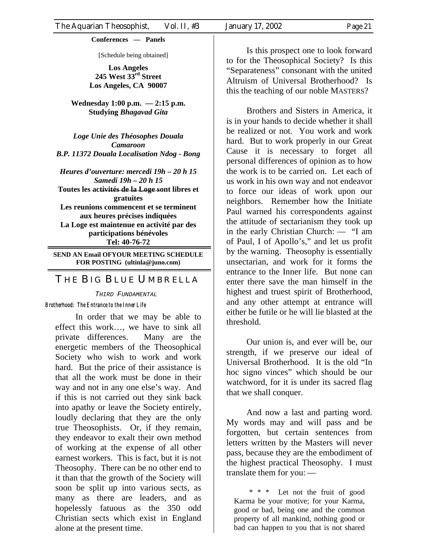**Conferences — Panels** 

[Schedule being obtained]

**Los Angeles 245 West 33rd Street Los Angeles, CA 90007** 

**Wednesday 1:00 p.m. — 2:15 p.m. Studying** *Bhagavad Gita* 

*Loge Unie des Théosophes Douala Camaroon B.P. 11372 Douala Localisation Ndog - Bong* 

*Heures d'ouverture: mercedi 19h – 20 h 15 Samedi 19h – 20 h 15*  **Toutes les activités de la Loge sont libres et gratuites Les reunions commencent et se terminent aux heures précises indiquées La Loge est maintenue en activité par des participations bénévoles Tel: 40-76-72** 

**SEND AN Email OFYOUR MEETING SCHEDULE FOR POSTING (ultinla@juno.com)** 

#### THE BIG BLUE UMBRELLA

THIRD FUNDAMENTAL

#### *Brotherhood: The Entrance to the Inner Life*

In order that we may be able to effect this work…, we have to sink all private differences. Many are the energetic members of the Theosophical Society who wish to work and work hard. But the price of their assistance is that all the work must be done in their way and not in any one else's way. And if this is not carried out they sink back into apathy or leave the Society entirely, loudly declaring that they are the only true Theosophists. Or, if they remain, they endeavor to exalt their own method of working at the expense of all other earnest workers. This is fact, but it is not Theosophy. There can be no other end to it than that the growth of the Society will soon be split up into various sects, as many as there are leaders, and as hopelessly fatuous as the 350 odd Christian sects which exist in England alone at the present time.

 Is this prospect one to look forward to for the Theosophical Society? Is this "Separateness" consonant with the united Altruism of Universal Brotherhood? Is this the teaching of our noble MASTERS?

 Brothers and Sisters in America, it is in your hands to decide whether it shall be realized or not. You work and work hard. But to work properly in our Great Cause it is necessary to forget all personal differences of opinion as to how the work is to be carried on. Let each of us work in his own way and not endeavor to force our ideas of work upon our neighbors. Remember how the Initiate Paul warned his correspondents against the attitude of sectarianism they took up in the early Christian Church: — "I am of Paul, I of Apollo's," and let us profit by the warning. Theosophy is essentially unsectarian, and work for it forms the entrance to the Inner life. But none can enter there save the man himself in the highest and truest spirit of Brotherhood, and any other attempt at entrance will either be futile or he will lie blasted at the threshold.

 Our union is, and ever will be, our strength, if we preserve our ideal of Universal Brotherhood. It is the old "In hoc signo vinces" which should be our watchword, for it is under its sacred flag that we shall conquer.

 And now a last and parting word. My words may and will pass and be forgotten, but certain sentences from letters written by the Masters will never pass, because they are the embodiment of the highest practical Theosophy. I must translate them for you:—

\* \* \* Let not the fruit of good Karma be your motive; for your Karma, good or bad, being one and the common property of all mankind, nothing good or bad can happen to you that is not shared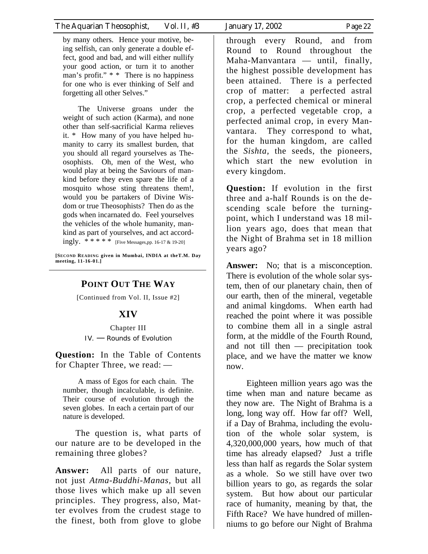by many others. Hence your motive, being selfish, can only generate a double effect, good and bad, and will either nullify your good action, or turn it to another man's profit." \* \* There is no happiness for one who is ever thinking of Self and forgetting all other Selves."

The Universe groans under the weight of such action (Karma), and none other than self-sacrificial Karma relieves it. \* How many of you have helped humanity to carry its smallest burden, that you should all regard yourselves as Theosophists. Oh, men of the West, who would play at being the Saviours of mankind before they even spare the life of a mosquito whose sting threatens them!, would you be partakers of Divine Wisdom or true Theosophists? Then do as the gods when incarnated do. Feel yourselves the vehicles of the whole humanity, mankind as part of yourselves, and act accordingly.  $* * * * *$  [Five Messages, pp. 16-17 & 19-20]

**[SECOND READING given in Mumbai, INDIA at theT.M. Day meeting, 11-16-01.]** 

### **POINT OUT THE WAY**

[Continued from Vol. II, Issue #2]

## **XIV**

#### Chapter III IV. — Rounds of Evolution

**Question:** In the Table of Contents for Chapter Three, we read: —

A mass of Egos for each chain. The number, though incalculable, is definite. Their course of evolution through the seven globes. In each a certain part of our nature is developed.

The question is, what parts of our nature are to be developed in the remaining three globes?

**Answer:** All parts of our nature, not just *Atma-Buddhi-Manas*, but all those lives which make up all seven principles. They progress, also, Matter evolves from the crudest stage to the finest, both from glove to globe

through every Round, and from Round to Round throughout the Maha-Manvantara — until, finally, the highest possible development has been attained. There is a perfected crop of matter: a perfected astral crop, a perfected chemical or mineral crop, a perfected vegetable crop, a perfected animal crop, in every Manvantara. They correspond to what, for the human kingdom, are called the *Sishta,* the seeds, the pioneers, which start the new evolution in every kingdom.

**Question:** If evolution in the first three and a-half Rounds is on the descending scale before the turningpoint, which I understand was 18 million years ago, does that mean that the Night of Brahma set in 18 million years ago?

**Answer:** No; that is a misconception. There is evolution of the whole solar system, then of our planetary chain, then of our earth, then of the mineral, vegetable and animal kingdoms. When earth had reached the point where it was possible to combine them all in a single astral form, at the middle of the Fourth Round, and not till then — precipitation took place, and we have the matter we know now.

 Eighteen million years ago was the time when man and nature became as they now are. The Night of Brahma is a long, long way off. How far off? Well, if a Day of Brahma, including the evolution of the whole solar system, is 4,320,000,000 years, how much of that time has already elapsed? Just a trifle less than half as regards the Solar system as a whole. So we still have over two billion years to go, as regards the solar system. But how about our particular race of humanity, meaning by that, the Fifth Race? We have hundred of millenniums to go before our Night of Brahma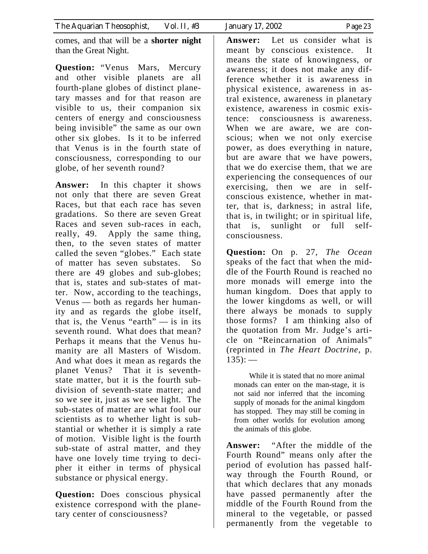comes, and that will be a **shorter night**  than the Great Night.

**Question:** "Venus Mars, Mercury and other visible planets are all fourth-plane globes of distinct planetary masses and for that reason are visible to us, their companion six centers of energy and consciousness being invisible" the same as our own other six globes. Is it to be inferred that Venus is in the fourth state of consciousness, corresponding to our globe, of her seventh round?

**Answer:** In this chapter it shows not only that there are seven Great Races, but that each race has seven gradations. So there are seven Great Races and seven sub-races in each, really, 49. Apply the same thing, then, to the seven states of matter called the seven "globes." Each state of matter has seven substates. So there are 49 globes and sub-globes; that is, states and sub-states of matter. Now, according to the teachings, Venus — both as regards her humanity and as regards the globe itself, that is, the Venus "earth"  $-$  is in its seventh round. What does that mean? Perhaps it means that the Venus humanity are all Masters of Wisdom. And what does it mean as regards the planet Venus? That it is seventhstate matter, but it is the fourth subdivision of seventh-state matter; and so we see it, just as we see light. The sub-states of matter are what fool our scientists as to whether light is substantial or whether it is simply a rate of motion. Visible light is the fourth sub-state of astral matter, and they have one lovely time trying to decipher it either in terms of physical substance or physical energy.

**Question:** Does conscious physical existence correspond with the planetary center of consciousness?

**Answer:** Let us consider what is meant by conscious existence. It means the state of knowingness, or awareness; it does not make any difference whether it is awareness in physical existence, awareness in astral existence, awareness in planetary existence, awareness in cosmic existence: consciousness is awareness. When we are aware, we are conscious; when we not only exercise power, as does everything in nature, but are aware that we have powers, that we do exercise them, that we are experiencing the consequences of our exercising, then we are in selfconscious existence, whether in matter, that is, darkness; in astral life, that is, in twilight; or in spiritual life, that is, sunlight or full selfconsciousness.

**Question:** On p. 27, *The Ocean*  speaks of the fact that when the middle of the Fourth Round is reached no more monads will emerge into the human kingdom. Does that apply to the lower kingdoms as well, or will there always be monads to supply those forms? I am thinking also of the quotation from Mr. Judge's article on "Reincarnation of Animals" (reprinted in *The Heart Doctrine,* p.  $135$ : —

While it is stated that no more animal monads can enter on the man-stage, it is not said nor inferred that the incoming supply of monads for the animal kingdom has stopped. They may still be coming in from other worlds for evolution among the animals of this globe.

**Answer:** "After the middle of the Fourth Round" means only after the period of evolution has passed halfway through the Fourth Round, or that which declares that any monads have passed permanently after the middle of the Fourth Round from the mineral to the vegetable, or passed permanently from the vegetable to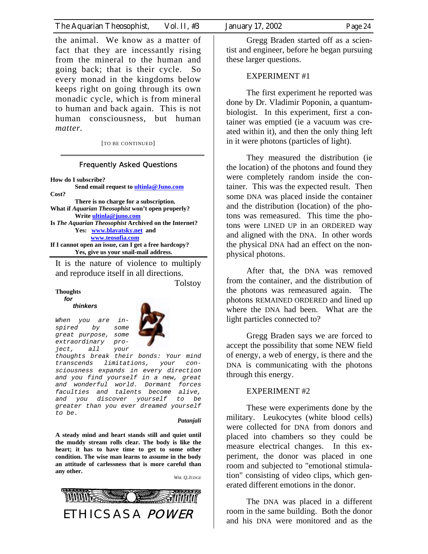the animal. We know as a matter of fact that they are incessantly rising from the mineral to the human and going back; that is their cycle. So every monad in the kingdoms below keeps right on going through its own monadic cycle, which is from mineral to human and back again. This is not human consciousness, but human *matter.*

[TO BE CONTINUED]

#### Frequently Asked Questions

**How do I subscribe?** 

 **Send email request to ultinla@Juno.com Cost? There is no charge for a subscription. What if** *Aquarian Theosophist* **won't open properly? Write ultinla@juno.com Is** *The Aquarian Theosophist* **Archived on the Internet? Yes: www.blavatsky.net and www.teosofia.com If I cannot open an issue, can I get a free hardcopy? Yes, give us your snail-mail address.** 

It is the nature of violence to multiply and reproduce itself in all directions.

Tolstoy

**Thoughts**   *for thinkers* 

*When you are inspired by some great purpose, some extraordinary project, all your* 



*thoughts break their bonds: Your mind transcends limitations, your consciousness expands in every direction and you find yourself in a new, great and wonderful world. Dormant forces faculties and talents become alive, and you discover yourself to be greater than you ever dreamed yourself to be.* 

#### *Patanjali*

**A steady mind and heart stands still and quiet until the muddy stream rolls clear. The body is like the heart; it has to have time to get to some other condition. The wise man learns to assume in the body an attitude of carlessness that is more careful than any other.** 

*WM. Q.JUDGE*



Gregg Braden started off as a scientist and engineer, before he began pursuing these larger questions.

#### EXPERIMENT #1

The first experiment he reported was done by Dr. Vladimir Poponin, a quantumbiologist. In this experiment, first a container was emptied (ie a vacuum was created within it), and then the only thing left in it were photons (particles of light).

They measured the distribution (ie the location) of the photons and found they were completely random inside the container. This was the expected result. Then some DNA was placed inside the container and the distribution (location) of the photons was remeasured. This time the photons were LINED UP in an ORDERED way and aligned with the DNA. In other words the physical DNA had an effect on the nonphysical photons.

After that, the DNA was removed from the container, and the distribution of the photons was remeasured again. The photons REMAINED ORDERED and lined up where the DNA had been. What are the light particles connected to?

Gregg Braden says we are forced to accept the possibility that some NEW field of energy, a web of energy, is there and the DNA is communicating with the photons through this energy.

#### EXPERIMENT #2

These were experiments done by the military. Leukocytes (white blood cells) were collected for DNA from donors and placed into chambers so they could be measure electrical changes. In this experiment, the donor was placed in one room and subjected to "emotional stimulation" consisting of video clips, which generated different emotions in the donor.

The DNA was placed in a different room in the same building. Both the donor and his DNA were monitored and as the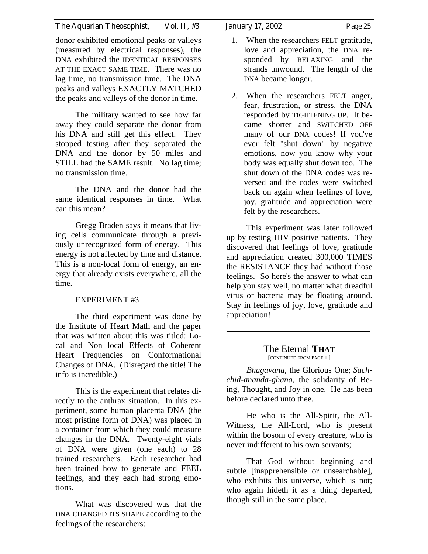| The Aquarian Theosophist,<br>Vol. 11, #3                                                                                                                                                                                                                                                              | <b>January 17, 2002</b><br>Page 25                                                                                                                                                                                                                                                                             |
|-------------------------------------------------------------------------------------------------------------------------------------------------------------------------------------------------------------------------------------------------------------------------------------------------------|----------------------------------------------------------------------------------------------------------------------------------------------------------------------------------------------------------------------------------------------------------------------------------------------------------------|
| donor exhibited emotional peaks or valleys<br>(measured by electrical responses), the<br>DNA exhibited the IDENTICAL RESPONSES<br>AT THE EXACT SAME TIME. There was no<br>lag time, no transmission time. The DNA<br>peaks and valleys EXACTLY MATCHED<br>the peaks and valleys of the donor in time. | 1. When the researchers FELT gratitude,<br>love and appreciation, the DNA re-<br>sponded by RELAXING<br>and<br>the<br>strands unwound. The length of the<br>DNA became longer.<br>2.<br>When the researchers FELT anger,<br>fear, frustration, or stress, the DNA                                              |
| The military wanted to see how far<br>away they could separate the donor from<br>his DNA and still get this effect. They<br>stopped testing after they separated the<br>DNA and the donor by 50 miles and<br>STILL had the SAME result. No lag time;<br>no transmission time.                         | responded by TIGHTENING UP. It be-<br>came shorter and SWITCHED OFF<br>many of our DNA codes! If you've<br>ever felt "shut down" by negative<br>emotions, now you know why your<br>body was equally shut down too. The<br>shut down of the DNA codes was re-<br>versed and the codes were switched             |
| The DNA and the donor had the<br>same identical responses in time.<br>What<br>can this mean?                                                                                                                                                                                                          | back on again when feelings of love,<br>joy, gratitude and appreciation were<br>felt by the researchers.                                                                                                                                                                                                       |
| Gregg Braden says it means that liv-<br>ing cells communicate through a previ-<br>ously unrecognized form of energy. This<br>energy is not affected by time and distance.<br>This is a non-local form of energy, an en-<br>ergy that already exists everywhere, all the<br>time.                      | This experiment was later followed<br>up by testing HIV positive patients. They<br>discovered that feelings of love, gratitude<br>and appreciation created 300,000 TIMES<br>the RESISTANCE they had without those<br>feelings. So here's the answer to what can<br>help you stay well, no matter what dreadful |
| <b>EXPERIMENT#3</b>                                                                                                                                                                                                                                                                                   | virus or bacteria may be floating around.<br>Stay in feelings of joy, love, gratitude and                                                                                                                                                                                                                      |
| The third experiment was done by<br>the Institute of Heart Math and the paper<br>that was written about this was titled: Lo-<br>cal and Non local Effects of Coherent                                                                                                                                 | appreciation!                                                                                                                                                                                                                                                                                                  |
| Conformational<br>Heart Frequencies on<br>Changes of DNA. (Disregard the title! The                                                                                                                                                                                                                   | The Eternal <b>THAT</b><br>[CONTINUED FROM PAGE 1.]                                                                                                                                                                                                                                                            |

info is incredible.) This is the experiment that relates directly to the anthrax situation. In this experiment, some human placenta DNA (the most pristine form of DNA) was placed in a container from which they could measure changes in the DNA. Twenty-eight vials of DNA were given (one each) to 28 trained researchers. Each researcher had been trained how to generate and FEEL feelings, and they each had strong emotions.

What was discovered was that the DNA CHANGED ITS SHAPE according to the feelings of the researchers:

*Bhagavana,* the Glorious One; *Sachchid-ananda-ghana,* the solidarity of Being, Thought, and Joy in one. He has been before declared unto thee.

He who is the All-Spirit, the All-Witness, the All-Lord, who is present within the bosom of every creature, who is never indifferent to his own servants;

That God without beginning and subtle [inapprehensible or unsearchable], who exhibits this universe, which is not; who again hideth it as a thing departed, though still in the same place.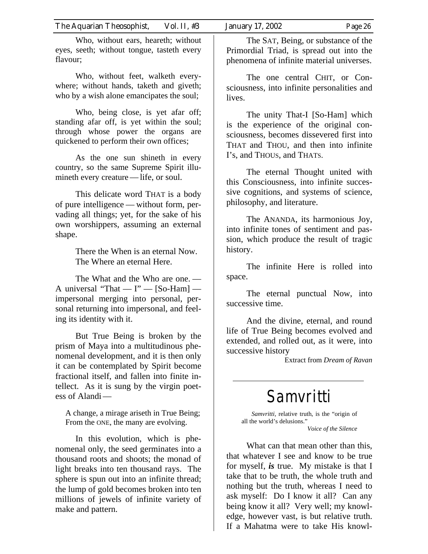Who, without ears, heareth; without eyes, seeth; without tongue, tasteth every flavour;

Who, without feet, walketh everywhere; without hands, taketh and giveth; who by a wish alone emancipates the soul;

Who, being close, is yet afar off; standing afar off, is yet within the soul; through whose power the organs are quickened to perform their own offices;

As the one sun shineth in every country, so the same Supreme Spirit illumineth every creature—life, or soul.

This delicate word THAT is a body of pure intelligence — without form, pervading all things; yet, for the sake of his own worshippers, assuming an external shape.

> There the When is an eternal Now. The Where an eternal Here.

The What and the Who are one. — A universal "That  $-$  I"  $-$  [So-Ham]  $$ impersonal merging into personal, personal returning into impersonal, and feeling its identity with it.

But True Being is broken by the prism of Maya into a multitudinous phenomenal development, and it is then only it can be contemplated by Spirit become fractional itself, and fallen into finite intellect. As it is sung by the virgin poetess of Alandi—

A change, a mirage ariseth in True Being; From the ONE, the many are evolving.

In this evolution, which is phenomenal only, the seed germinates into a thousand roots and shoots; the monad of light breaks into ten thousand rays. The sphere is spun out into an infinite thread; the lump of gold becomes broken into ten millions of jewels of infinite variety of make and pattern.

The SAT, Being, or substance of the Primordial Triad, is spread out into the phenomena of infinite material universes.

The one central CHIT, or Consciousness, into infinite personalities and lives.

The unity That-I [So-Ham] which is the experience of the original consciousness, becomes dissevered first into THAT and THOU, and then into infinite I's, and THOUS, and THATS.

The eternal Thought united with this Consciousness, into infinite successive cognitions, and systems of science, philosophy, and literature.

The ANANDA, its harmonious Joy, into infinite tones of sentiment and passion, which produce the result of tragic history.

The infinite Here is rolled into space.

The eternal punctual Now, into successive time.

And the divine, eternal, and round life of True Being becomes evolved and extended, and rolled out, as it were, into successive history

Extract from *Dream of Ravan* 

# Samvritti

*Samvritti,* relative truth, is the "origin of all the world's delusions." *Voice of the Silence* 

What can that mean other than this, that whatever I see and know to be true for myself, *is* true. My mistake is that I take that to be truth, the whole truth and nothing but the truth, whereas I need to ask myself: Do I know it all? Can any being know it all? Very well; my knowledge, however vast, is but relative truth. If a Mahatma were to take His knowl-